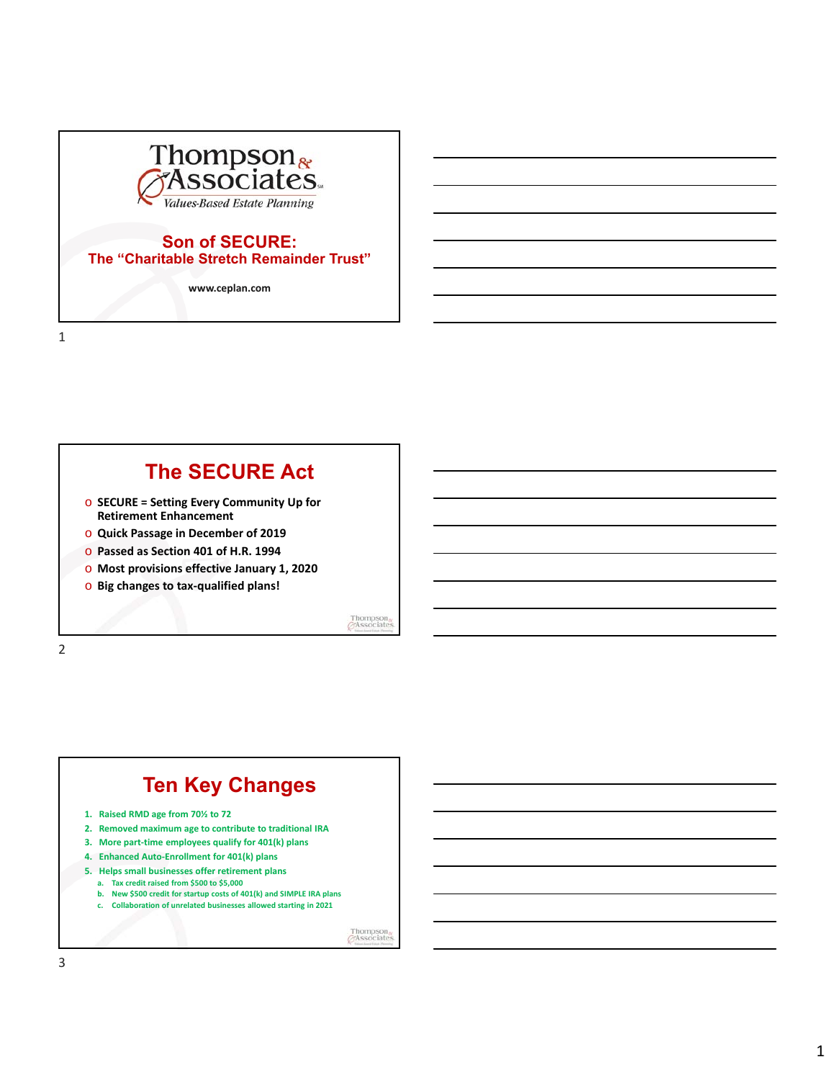

#### **Son of SECURE: The "Charitable Stretch Remainder Trust"**

**www.ceplan.com**

1

## **The SECURE Act**

- o **SECURE = Setting Every Community Up for Retirement Enhancement**
- o **Quick Passage in December of 2019**
- o **Passed as Section 401 of H.R. 1994**
- o **Most provisions effective January 1, 2020**
- o **Big changes to tax-qualified plans!**

Thompson<br>GAssociate



# **Ten Key Changes**

- **1. Raised RMD age from 70½ to 72**
- **2. Removed maximum age to contribute to traditional IRA**
- **3. More part-time employees qualify for 401(k) plans**
- **4. Enhanced Auto-Enrollment for 401(k) plans**
- **5. Helps small businesses offer retirement plans**
	- **a. Tax credit raised from \$500 to \$5,000**
	- **b. New \$500 credit for startup costs of 401(k) and SIMPLE IRA plans**
	- **c. Collaboration of unrelated businesses allowed starting in 2021**

Thompson<sub>o</sub>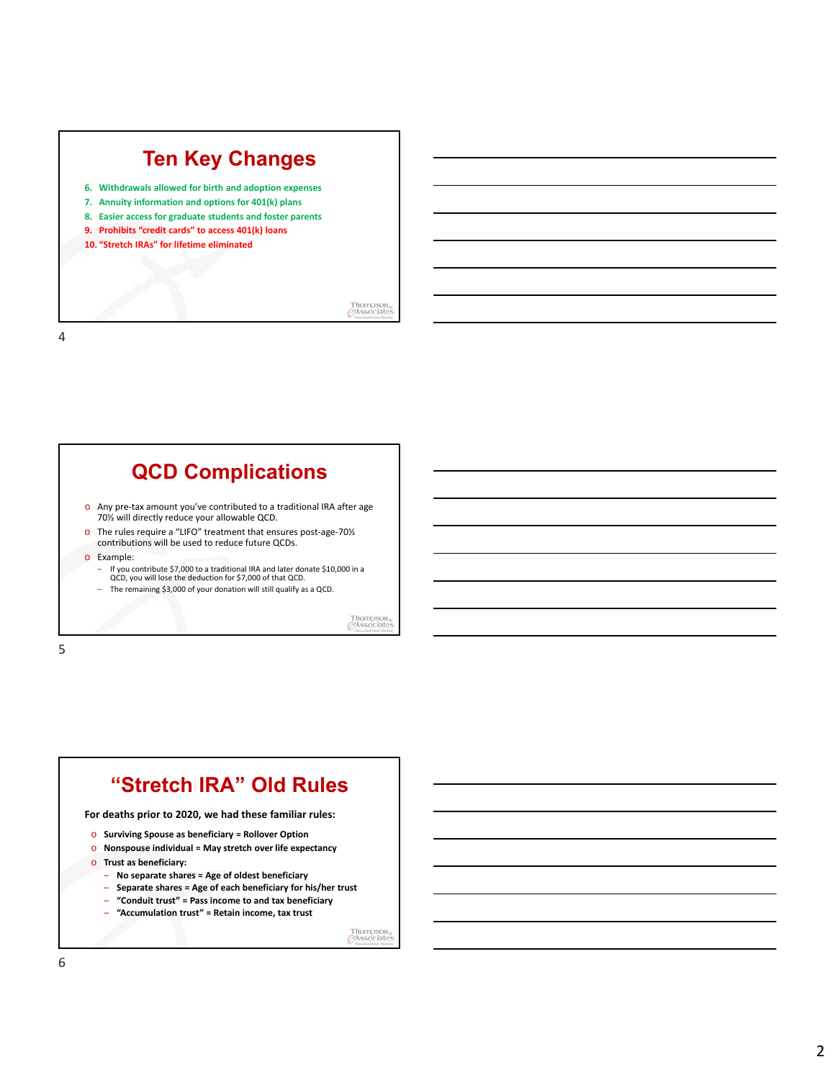# **Ten Key Changes**

- **6. Withdrawals allowed for birth and adoption expenses**
- **7. Annuity information and options for 401(k) plans**
- **8. Easier access for graduate students and foster parents**
- **9. Prohibits "credit cards" to access 401(k) loans**
- **10. "Stretch IRAs" for lifetime eliminated**

Thompson<sub>o</sub><br>*GAssociates* 

4

### **QCD Complications** o Any pre-tax amount you've contributed to a traditional IRA after age 70½ will directly reduce your allowable QCD. o The rules require a "LIFO" treatment that ensures post-age-70½ contributions will be used to reduce future QCDs. o Example: – If you contribute \$7,000 to a traditional IRA and later donate \$10,000 in a QCD, you will lose the deduction for \$7,000 of that QCD. – The remaining \$3,000 of your donation will still qualify as a QCD. Thompson<br>GAssociat

5



Thompson<sub>o</sub>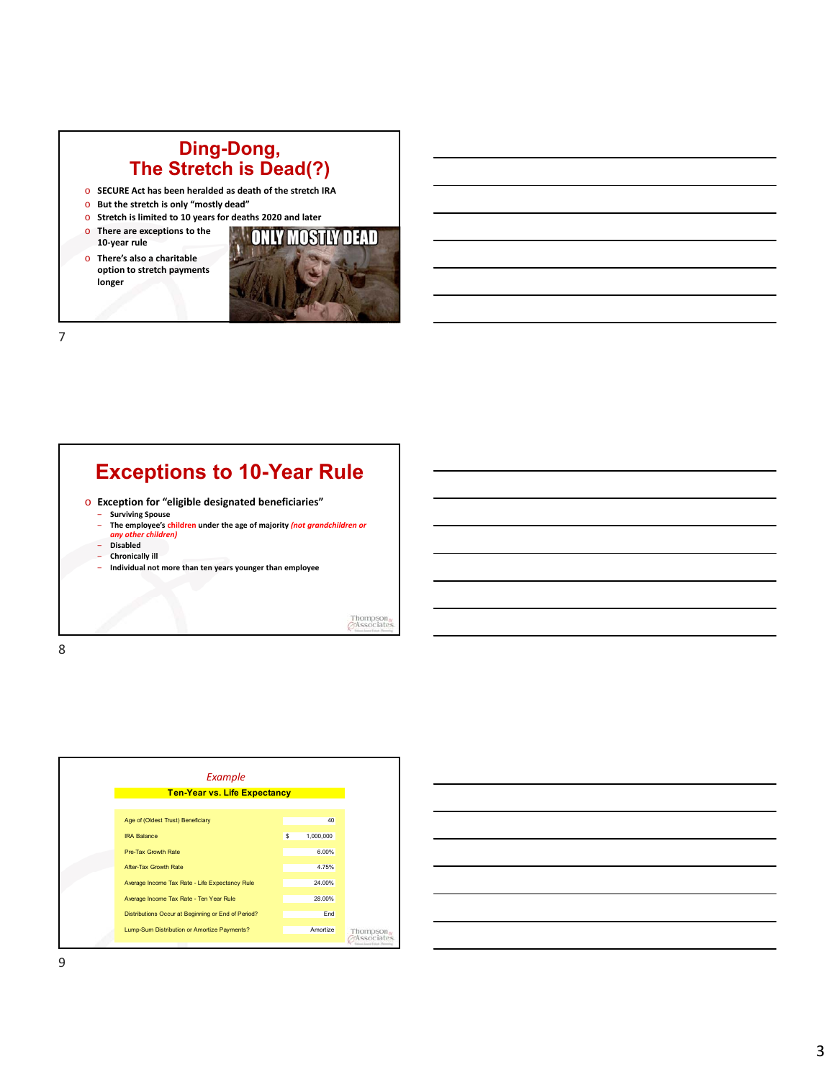### **Ding-Dong, The Stretch is Dead(?)**

- o **SECURE Act has been heralded as death of the stretch IRA**
- o **But the stretch is only "mostly dead"**
- o **Stretch is limited to 10 years for deaths 2020 and later**
- o **There are exceptions to the 10-year rule**
- o **There's also a charitable option to stretch payments longer**



7

## **Exceptions to 10-Year Rule**

o **Exception for "eligible designated beneficiaries"**

- ‒ **Surviving Spouse** ‒ **The employee's children under the age of majority** *(not grandchildren or*
- *any other children)*
- ‒ **Disabled** ‒ **Chronically ill**
- ‒ **Individual not more than ten years younger than employee**

Thompson<br>GAssociate



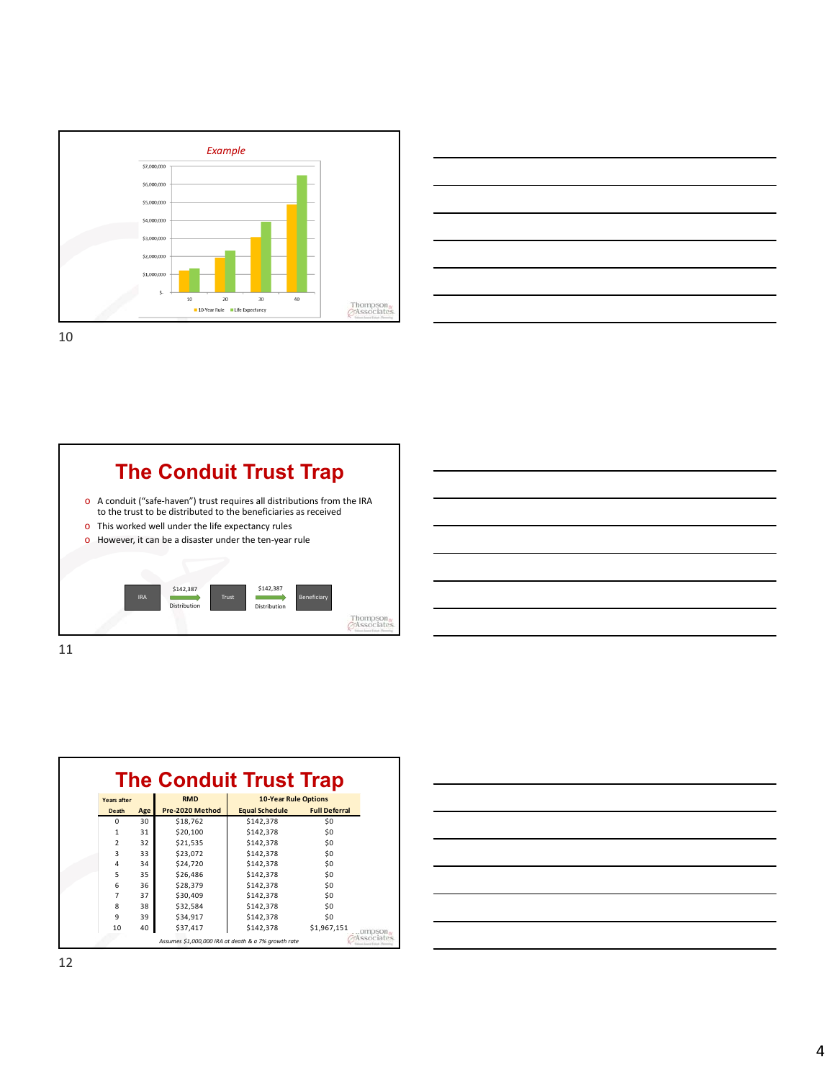





| ۰, | ۰. |
|----|----|
|    |    |
|    |    |

| <b>The Conduit Trust Trap</b> |                          |     |                 |                                                     |                      |
|-------------------------------|--------------------------|-----|-----------------|-----------------------------------------------------|----------------------|
|                               | Years after              |     | <b>RMD</b>      | <b>10-Year Rule Options</b>                         |                      |
|                               | Death                    | Age | Pre-2020 Method | <b>Equal Schedule</b>                               | <b>Full Deferral</b> |
|                               | $\Omega$                 | 30  | \$18,762        | \$142,378                                           | \$0                  |
|                               | 1                        | 31  | \$20,100        | \$142,378                                           | \$0                  |
|                               | $\overline{\phantom{a}}$ | 32  | \$21,535        | \$142,378                                           | \$0                  |
|                               | 3                        | 33  | \$23,072        | \$142,378                                           | \$0                  |
|                               | 4                        | 34  | \$24,720        | \$142,378                                           | \$0                  |
|                               | 5                        | 35  | \$26,486        | \$142,378                                           | \$0                  |
|                               | 6                        | 36  | \$28,379        | \$142,378                                           | \$0                  |
|                               | 7                        | 37  | \$30,409        | \$142,378                                           | \$0                  |
|                               | 8                        | 38  | \$32,584        | \$142,378                                           | \$0                  |
|                               | 9                        | 39  | \$34,917        | \$142,378                                           | \$0                  |
|                               | 10                       | 40  | \$37,417        | \$142,378                                           | \$1,967,151          |
|                               |                          |     |                 | Assumes \$1,000,000 IRA at death & a 7% growth rate |                      |

| <u>. In the contract of the contract of the contract of the contract of the contract of the contract of the contract of the contract of the contract of the contract of the contract of the contract of the contract of the cont</u> |  |  |  |
|--------------------------------------------------------------------------------------------------------------------------------------------------------------------------------------------------------------------------------------|--|--|--|
|                                                                                                                                                                                                                                      |  |  |  |
|                                                                                                                                                                                                                                      |  |  |  |
|                                                                                                                                                                                                                                      |  |  |  |
|                                                                                                                                                                                                                                      |  |  |  |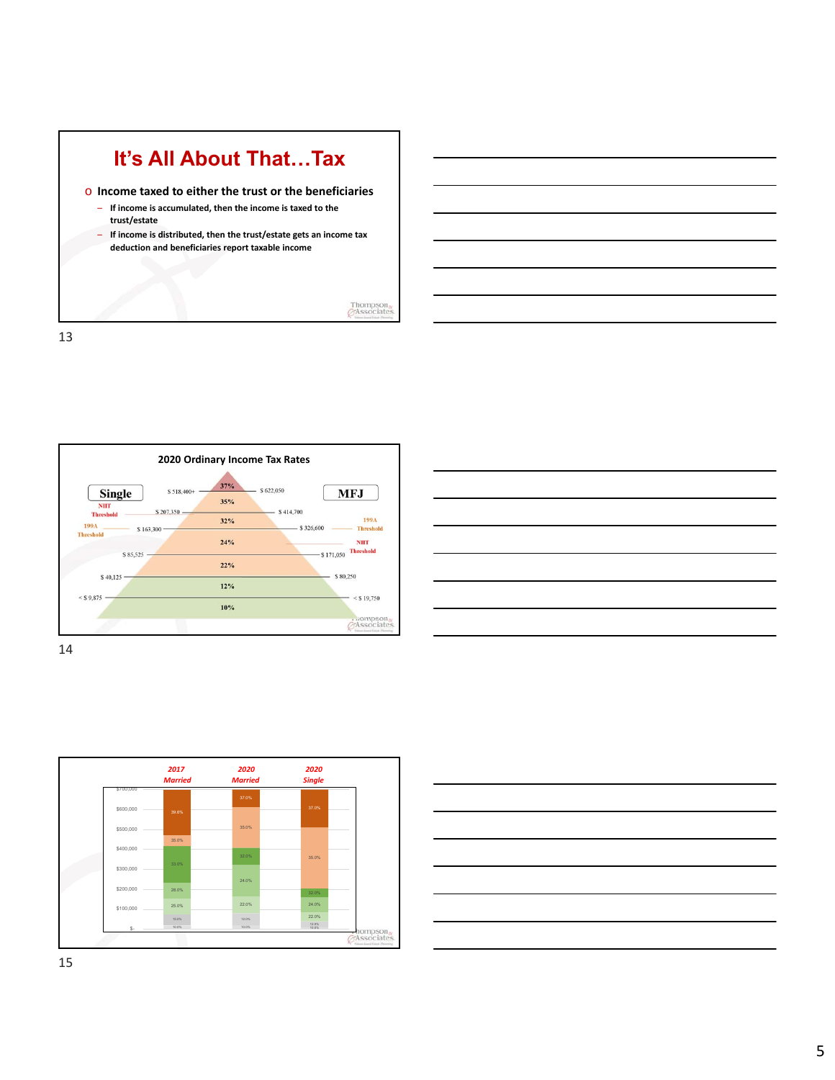



| $\overline{\phantom{a}}$ |  |
|--------------------------|--|
|                          |  |
|                          |  |
|                          |  |
|                          |  |
|                          |  |
|                          |  |
| $\overline{\phantom{a}}$ |  |
|                          |  |
|                          |  |
|                          |  |
|                          |  |



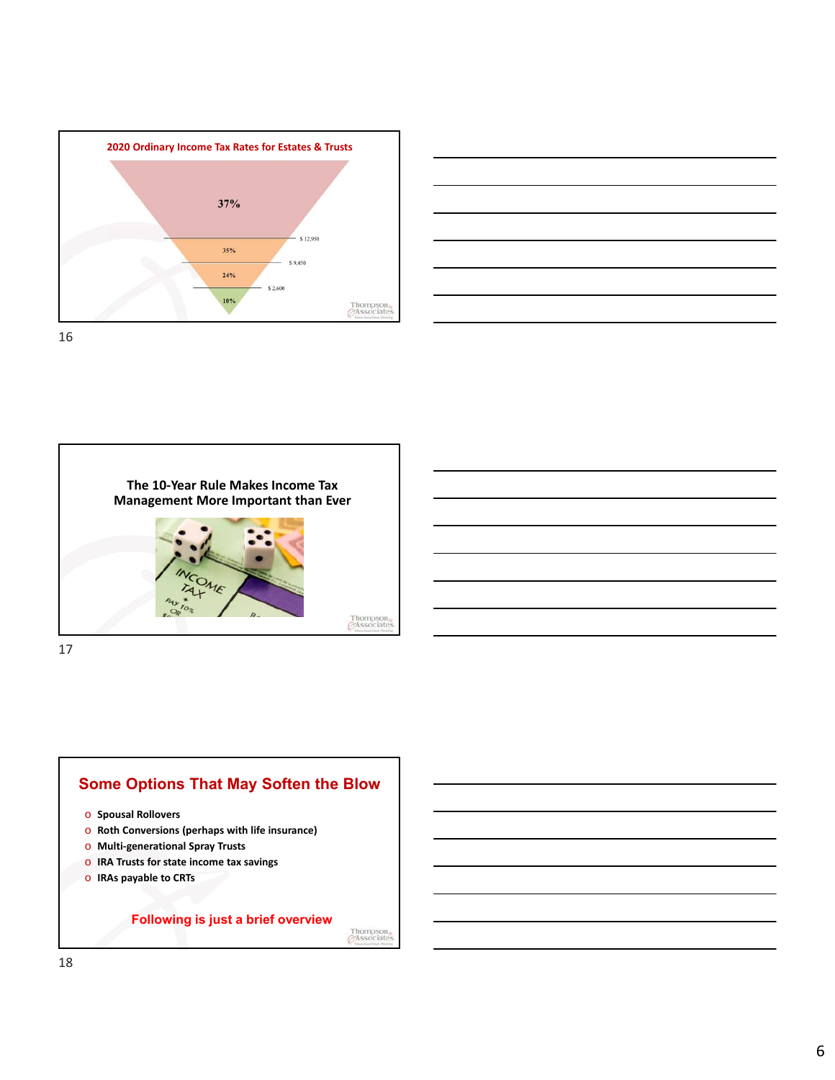







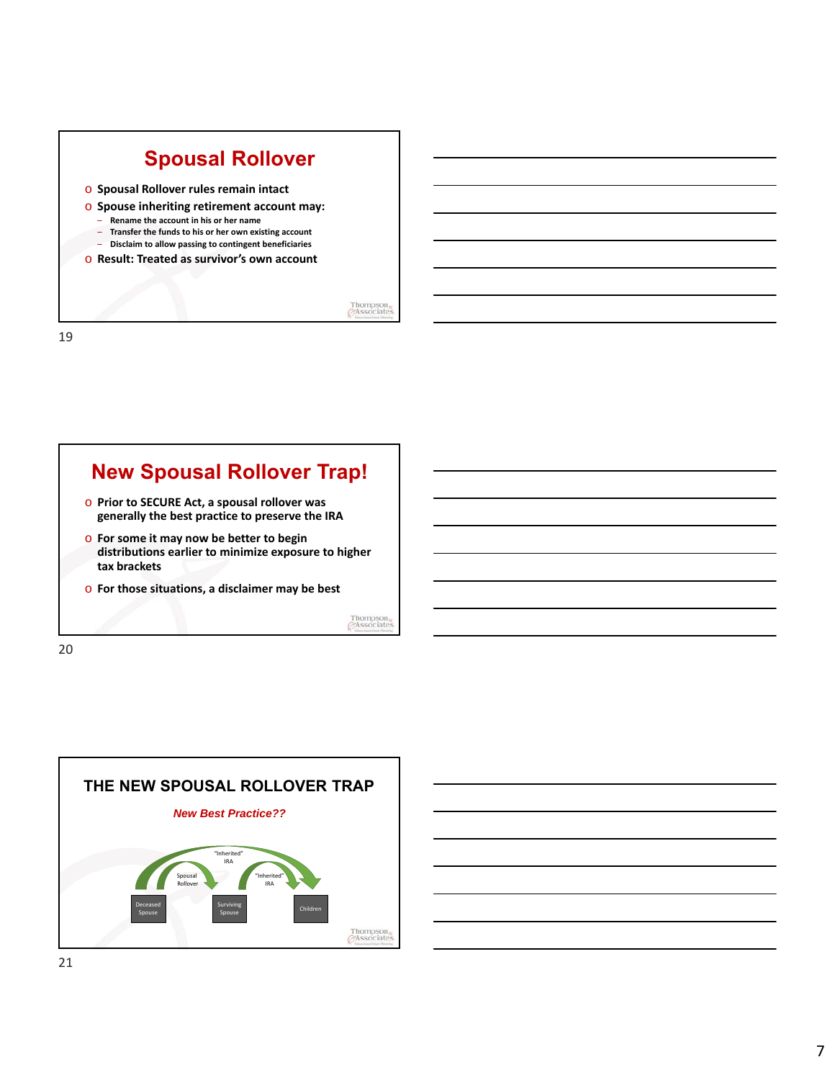

## **New Spousal Rollover Trap!**

- o **Prior to SECURE Act, a spousal rollover was generally the best practice to preserve the IRA**
- o **For some it may now be better to begin distributions earlier to minimize exposure to higher tax brackets**
- o **For those situations, a disclaimer may be best**

Thompson<br>GAssociate



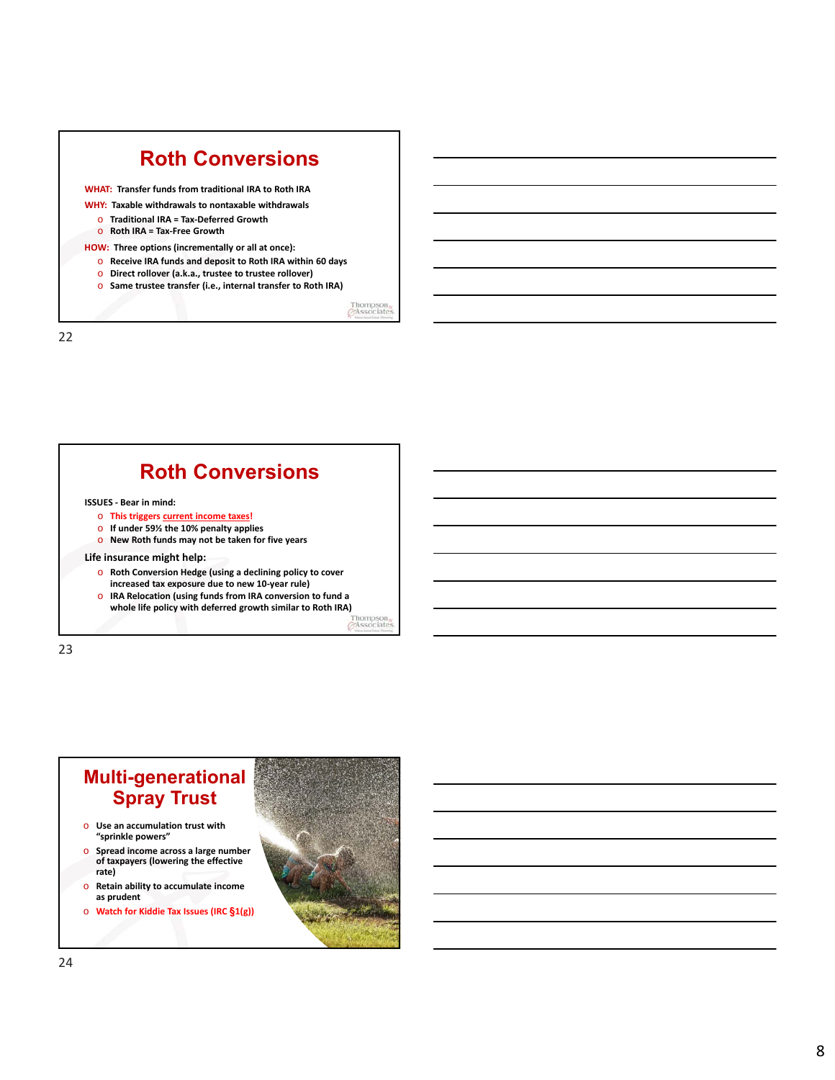|          | <b>Roth Conversions</b>                                      |  |
|----------|--------------------------------------------------------------|--|
|          | <b>WHAT: Transfer funds from traditional IRA to Roth IRA</b> |  |
|          | WHY: Taxable withdrawals to nontaxable withdrawals           |  |
|          | Traditional IRA = Tax-Deferred Growth                        |  |
|          | Roth IRA = Tax-Free Growth                                   |  |
|          | HOW: Three options (incrementally or all at once):           |  |
| $\Omega$ | Receive IRA funds and deposit to Roth IRA within 60 days     |  |
| $\Omega$ | Direct rollover (a.k.a., trustee to trustee rollover)        |  |
| $\Omega$ | Same trustee transfer (i.e., internal transfer to Roth IRA)  |  |
|          |                                                              |  |

# **Roth Conversions ISSUES - Bear in mind:**

- o **This triggers current income taxes!**
- o **If under 59½ the 10% penalty applies** o **New Roth funds may not be taken for five years**
- **Life insurance might help:**
	- o **Roth Conversion Hedge (using a declining policy to cover increased tax exposure due to new 10-year rule)**
	- o **IRA Relocation (using funds from IRA conversion to fund a whole life policy with deferred growth similar to Roth IRA)**<br>Thompson **ITASSOCIAl**

23

### **Multi-generational Spray Trust**

- o **Use an accumulation trust with "sprinkle powers"**
- o **Spread income across a large number of taxpayers (lowering the effective rate)**
- o **Retain ability to accumulate income as prudent**
- o **Watch for Kiddie Tax Issues (IRC §1(g))**

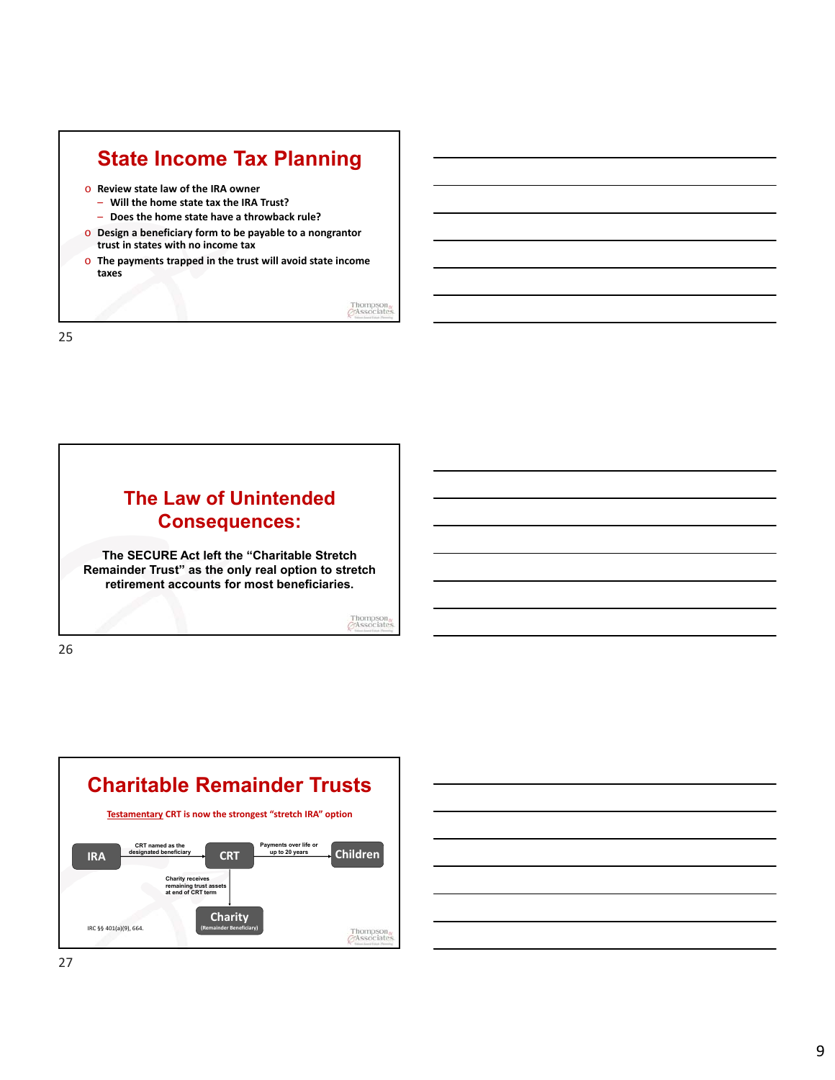

Thompson<sub>o</sub><br>GAssociates

25

26

## **The Law of Unintended Consequences:**

**The SECURE Act left the "Charitable Stretch Remainder Trust" as the only real option to stretch retirement accounts for most beneficiaries.**

Thompson<br>GAssociate



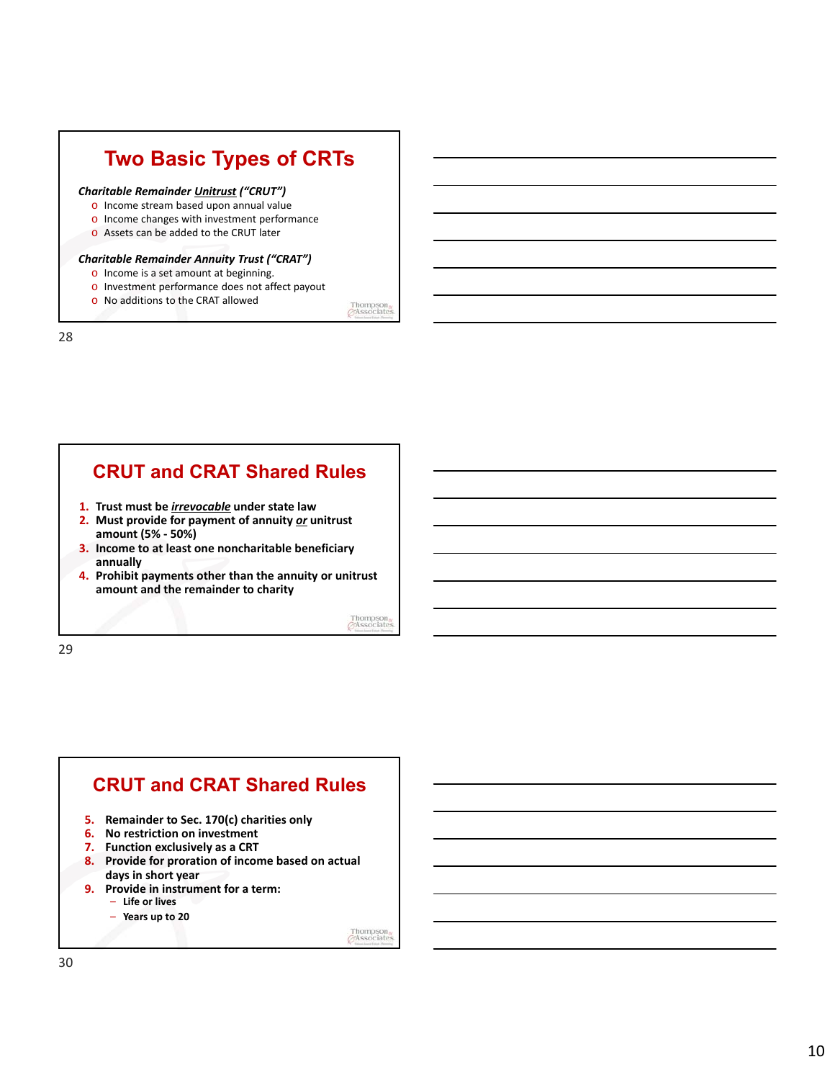# **Two Basic Types of CRTs**

#### *Charitable Remainder Unitrust ("CRUT")*

- o Income stream based upon annual value
- o Income changes with investment performance
- o Assets can be added to the CRUT later

#### *Charitable Remainder Annuity Trust ("CRAT")*

o Income is a set amount at beginning.

o No additions to the CRAT allowed

o Investment performance does not affect payout

Thompson<sub>o</sub><br>  $\oslash$ Associates

28

### **CRUT and CRAT Shared Rules**

- **1. Trust must be** *irrevocable* **under state law**
- **2. Must provide for payment of annuity** *or* **unitrust amount (5% - 50%)**
- **3. Income to at least one noncharitable beneficiary annually**
- **4. Prohibit payments other than the annuity or unitrust amount and the remainder to charity**

Thompson<br>GAssociate

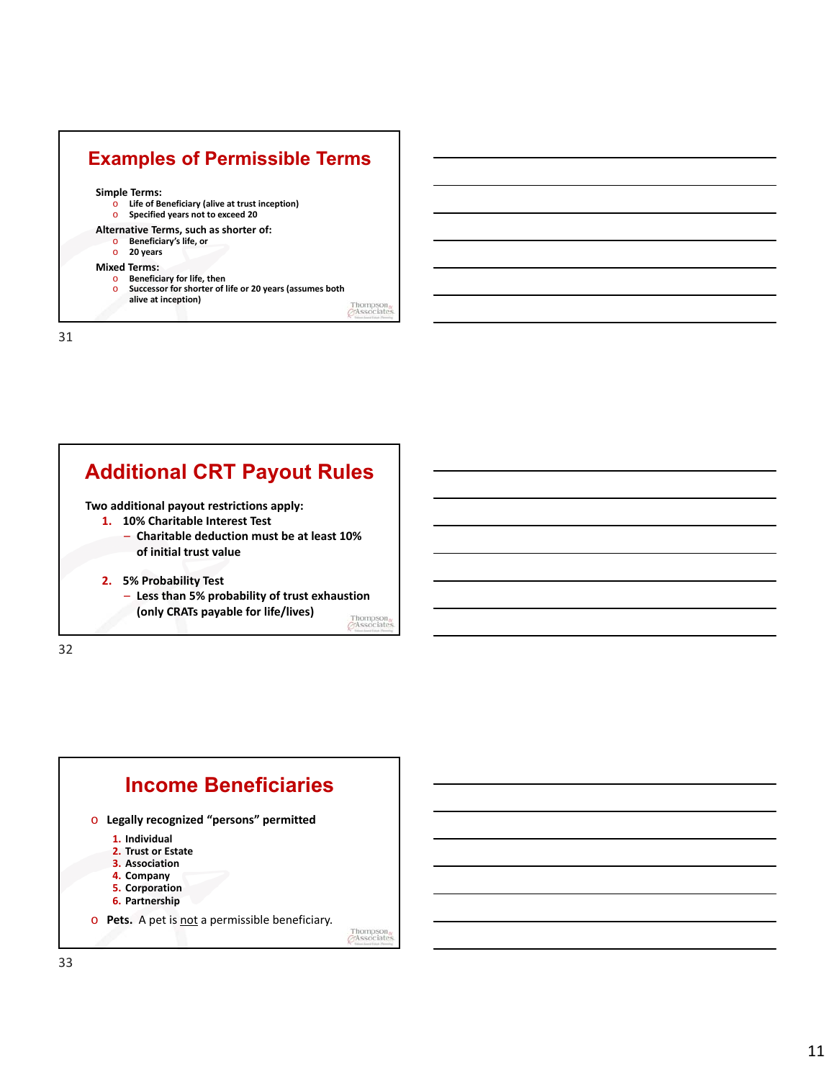





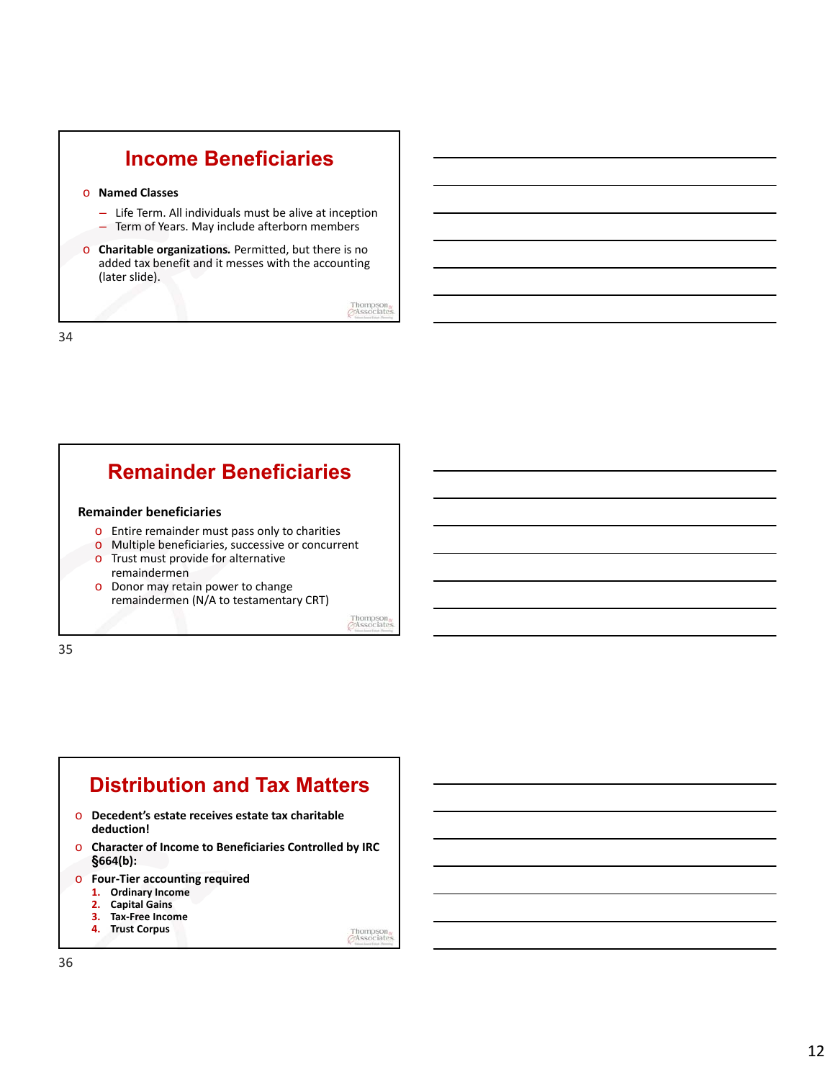





- o **Decedent's estate receives estate tax charitable deduction!**
- o **Character of Income to Beneficiaries Controlled by IRC §664(b):**
- o **Four-Tier accounting required**
	- **1. Ordinary Income**
	- **2. Capital Gains**
	- **3. Tax-Free Income 4. Trust Corpus**

Thompson<sub>o</sub>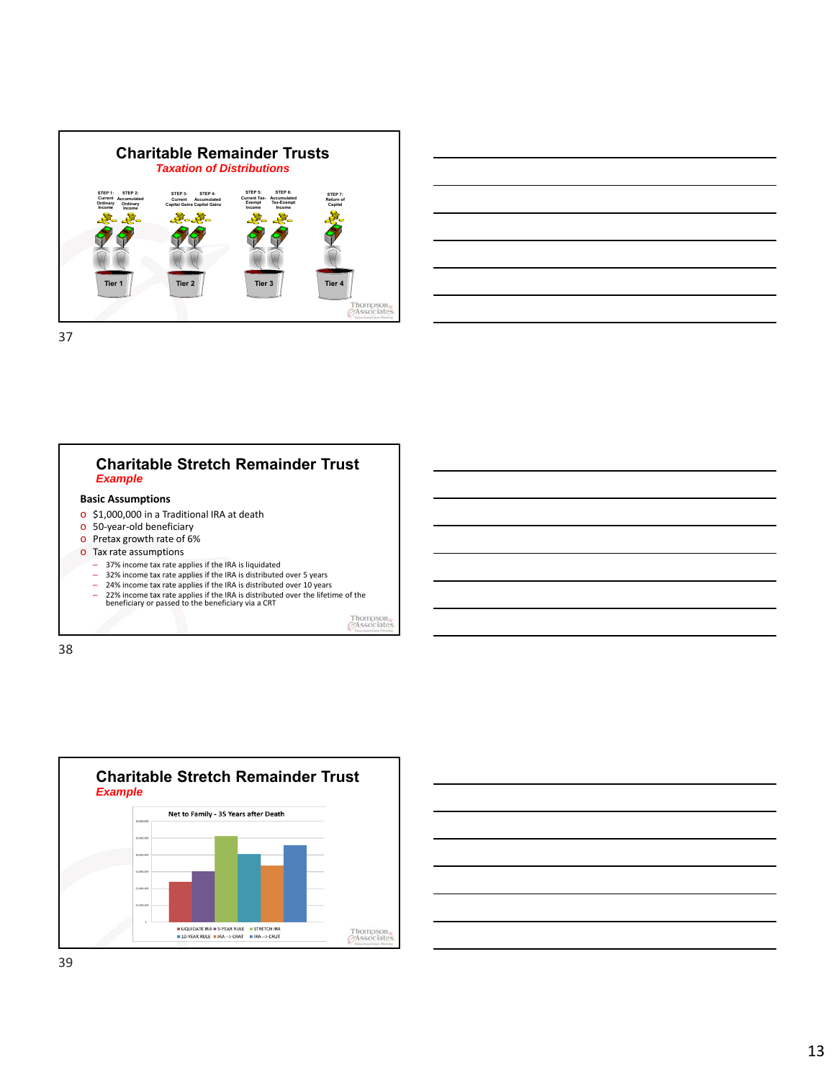



#### **Basic Assumptions** o \$1,000,000 in a Traditional IRA at death o 50-year-old beneficiary o Pretax growth rate of 6% o Tax rate assumptions **Charitable Stretch Remainder Trust** *Example*

- 37% income tax rate applies if the IRA is liquidated
- 
- 32% income tax rate applies if the IRA is distributed over 5 years<br>- 24% income tax rate applies if the IRA is distributed over 10 years<br>- 22% income tax rate applies if the IRA is distributed over the lifetime of the<br>be

Thompson<br>GAssociate

38